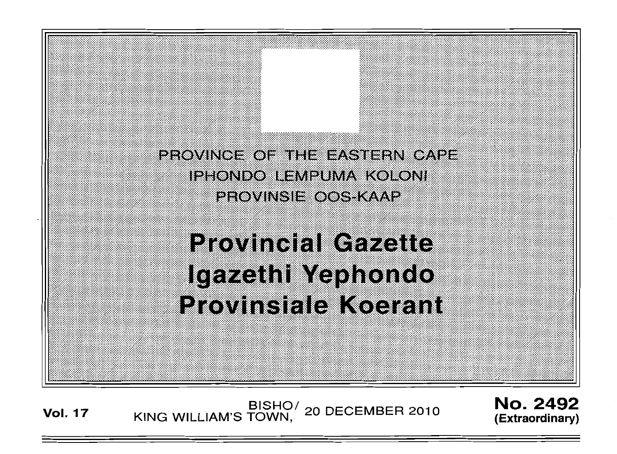PROVINCE OF THE EASTERN CAPE IPHONDO LEMPUMA KOLONI PROVINSIE OOS KAAP

**Provincial Gazette** Igazethi Yephondo **Provinsiale Koerant** 

**Vol. 17 KING WILLIAM'S TOWN, 20 DECEMBER 2010** 

No. 2492 **(Extraordinary)** 

: . . :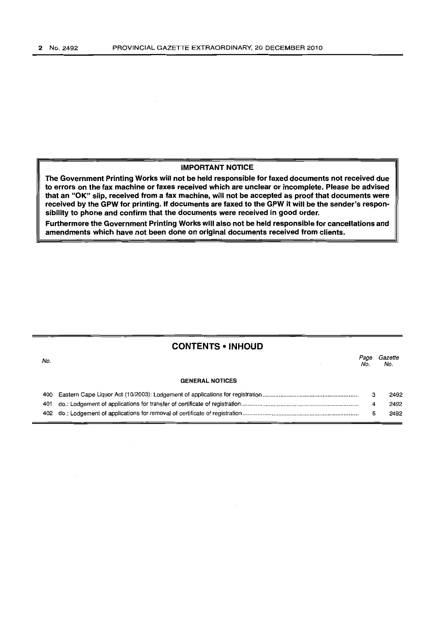### **IMPORTANT NOTICE**

**The Government Printing Works will not be held responsible for faxed documents not received due to errors on the fax machine or faxes received which are unclear or incomplete. Please be advised that an "OK" slip, received from a fax machine, will not be accepted as proof that documents were received by the GPW for printing. If documents are faxed to the GPW it will be the sender's responsibility to phone and confirm that the documents were received in good order.** 

**Furthermore the Government Printing Works will also not be held responsible for cancellations and amendments which have not been done on original documents received from clients.** 

## **CONTENTS • INHOUD**

| No. |                        | Page<br>No. | Gazette<br>No. |
|-----|------------------------|-------------|----------------|
|     | <b>GENERAL NOTICES</b> |             |                |
|     |                        | 3           | 2492           |
|     |                        | 4           | 2492           |
|     |                        |             | 2492           |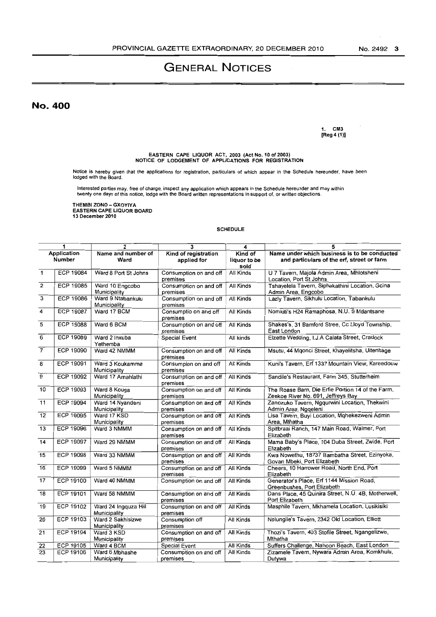# **GENERAL NOTICES**

No. 400

1. CM3 [Reg 4 (1))

EASTERN CAPE LIQUOR ACT, 2003 (Act No. 10 of 2003) NOTICE OF LODGEMENT OF APPLICATIONS FOR REGISTRATION

Notice is hereby given that the applications for registration, particulars of which appear in the Schedule hereunder, have been lodged with the Board.

Interested parties may, free of charge, inspect any application which appears in the Schedule hereunder and may within<br>twenty one days of this notice, lodge with the Board written representations in support of, or written

THEMBI ZONO - GXOYIYA EASTERN CAPE LIQUOR BOARD 13 December 2010

#### SCHEDULE

|                         | 1                | $\overline{\mathbf{2}}$              | 3                                   | 4                               | 5                                                                                          |
|-------------------------|------------------|--------------------------------------|-------------------------------------|---------------------------------|--------------------------------------------------------------------------------------------|
| Application<br>Number   |                  | Name and number of<br>Ward           | Kind of registration<br>applied for | Kind of<br>liquor to be<br>sold | Name under which business is to be conducted<br>and particulars of the erf, street or farm |
| $\mathbf{1}$            | ECP 19084        | Ward 8 Port St Johns                 | Consumption on and off<br>premises  | All Kinds                       | U 7 Tavern, Majola Admin Area, Mhlotsheni<br>Location, Port St Johns                       |
| $\overline{2}$          | <b>ECP 19085</b> | Ward 10 Engcobo<br>Municipality      | Consumption on and off<br>premises  | All Kinds                       | Tshayelela Tavern, Siphakathini Location, Gcina<br>Admin Area, Engcobo                     |
| $\overline{\mathbf{3}}$ | <b>ECP 19086</b> | Ward 9 Ntabankulu<br>Municipality    | Consumption on and off<br>premises  | <b>All Kinds</b>                | Lazly Tavern, Sikhulu Location, Tabankulu                                                  |
| 4                       | <b>ECP 19087</b> | Ward 17 BCM                          | Consumptio on and off<br>premises   | All Kinds                       | Nomkiti's H24 Ramaphosa, N.U. 9 Mdantsane                                                  |
| 5                       | <b>ECP 19088</b> | Ward 6 BCM                           | Consumption on and off<br>premises  | All Kinds                       | Shakes's, 31 Bamford Stree, Cc Lloyd Township,<br>East London                              |
| $\overline{6}$          | <b>ECP 19089</b> | Ward 2 Inxuba<br>Yethemba            | <b>Special Event</b>                | All kinds                       | Elzette Wedding, I.J.A Calata Street, Cradock                                              |
| $\overline{7}$          | <b>ECP 19090</b> | Ward 42 NMMM                         | Consumption on and off<br>premises  | All Kinds                       | Msutu, 44 Mgonci Street, Khayelitsha, Uitenhage                                            |
| 8                       | FCP 19091        | Ward 3 Koukamma<br>Municipality      | Consumpion on and off<br>premises   | All Kinds                       | Kuni's Tavern, Erf 1337 Mountain View, Kareedouw                                           |
| 9                       | <b>ECP 19092</b> | Ward 17 Amahlathi                    | Consumption on and off<br>premises  | All Kinds                       | Sandile's Restaurant, Farm 345, Stutterheim                                                |
| 10                      | <b>ECP 19093</b> | Ward 8 Kouga<br>Municipality         | Consumption on and off<br>premises  | <b>All Kinds</b>                | The Roase Barn, Die Erfie Portion 14 of the Farm,<br>Zeekoe River No. 691, Jeffreys Bay    |
| 11                      | ECP 19094        | Ward 14 Nyandeni<br>Municipality     | Consumption on and off<br>premises  | All Kinds                       | Zanozuko Tavern, Ngqurwini Location, Thekwini<br>Admin Area, Nggeleni                      |
| $\overline{12}$         | <b>ECP 19095</b> | Ward 17 KSD<br>Municipality          | Consumption on and off<br>premises  | All Kinds                       | Lisa Tavern, Buyi Location, Mghekezweni Admin<br>Area, Mthatha                             |
| 13                      | <b>ECP 19096</b> | Ward 3 NMMM                          | Consumption on and off<br>premises  | All Kinds                       | Spitbraai Ranch, 147 Main Road, Walmer, Port<br>Elizabeth                                  |
| 14                      | <b>ECP 19097</b> | Ward 29 NMMM                         | Consumption on and off<br>premises  | All Kinds                       | Mama Baby's Place, 104 Duba Street, Zwide, Port<br>Elizabeth                               |
| 15                      | ECP 19098        | Ward 33 NMMM                         | Consumption on and off<br>premises  | All Kinds                       | Kwa Nowethu, 18737 Bambatha Street, Ezinyoka,<br>Govan Mbeki, Port Elizabeth               |
| 16                      | ECP 19099        | Ward 5 NMMM                          | Consumption on and off<br>premises  | All Kinds                       | Cheers, 10 Harrower Road, North End, Port<br>Elizabeth                                     |
| 17                      | <b>ECP 19100</b> | Ward 40 NMMM                         | Consumption on and off              | All Kinds                       | Generator's Place, Erf 1144 Mission Road,<br>Greenbushes, Port Elizabeth                   |
| $\overline{18}$         | <b>ECP 19101</b> | Ward 58 NMMM                         | Consumption on and off<br>premises  | <b>All Kinds</b>                | Dans Place, 45 Quinira Street, N.U. 4B, Motherwell,<br>Port Elizabeth                      |
| 19                      | <b>ECP 19102</b> | Ward 24 Ingquza Hill<br>Municipality | Consumption on and off<br>premises  | All Kinds                       | Masphile Tavern, Mkhamela Location, Lusikisiki                                             |
| 20                      | ECP 19103        | Ward 2 Sakhisizwe<br>Municipality    | Consumption off<br>premises         | All Kinds                       | Nolungile's Tavern, 2342 Old Location, Elliott                                             |
| 21                      | <b>ECP 19104</b> | Ward 3 KSD                           | Consumption on and off              | All Kinds                       | Thozi's Tavern. 403 Stofile Street, Ngangelizwe,                                           |
|                         |                  | Municipality                         | premises                            |                                 | Mthatha                                                                                    |
| 22                      | <b>ECP 19105</b> | Ward 4 BCM                           | <b>Special Event</b>                | All Kinds                       | Suffers Challenge, Nahoon Beach, East London                                               |
| 23                      | ECP 19106        | Ward 6 Mbhashe<br>Municipality       | Consumption on and off<br>premises  | All Kinds                       | Zizamele Tavern, Nywara Admin Area, Komkhulu,<br>Dutywa                                    |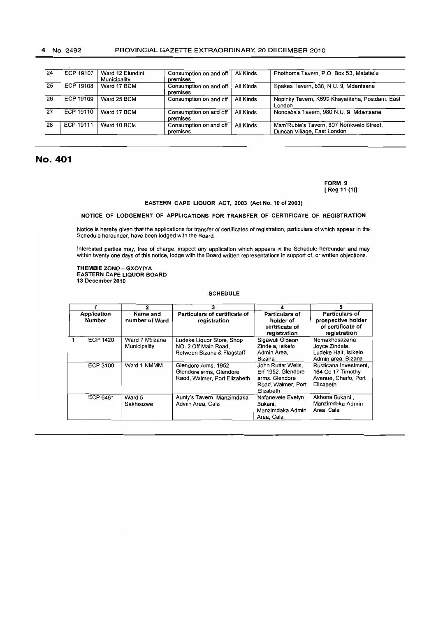| 24 | <b>ECP 19107</b> | Ward 12 Elundini | Consumption on and off | All Kinds | Phothoma Tavern, P.O. Box 53, Matatiele         |
|----|------------------|------------------|------------------------|-----------|-------------------------------------------------|
|    |                  | Municipality     | premises               |           |                                                 |
| 25 | ECP 19108        | Ward 17 BCM      | Consumption on and off | All Kinds | Spakes Tavern, 638, N.U. 9, Mdantsane           |
|    |                  |                  | premises               |           |                                                 |
| 26 | ECP 19109        | Ward 25 BCM      | Consumption on and off | All Kinds | Nopinky Tavern, K699 Khayelitsha, Postdam, East |
|    |                  |                  |                        |           | London                                          |
| 27 | ECP 19110        | Ward 17 BCM      | Consumption on and off | All Kinds | Nongaba's Tavern, 980 N.U. 9, Mdantsane         |
|    |                  |                  | premises               |           |                                                 |
| 28 | ECP 19111        | Ward 10 BCM      | Consumption on and off | All Kinds | Mam'Rubie's Tavern, 807 Nonkwelo Street,        |
|    |                  |                  | premises               |           | Duncan Village, East London                     |
|    |                  |                  |                        |           |                                                 |

# No. 401

FORM 9 [Reg 11 (1)]

#### EASTERN CAPE LIQUOR ACT, 2003 (Act No. 10 of 2003)

### NOTICE OF LODGEMENT OF APPLICATIONS FOR TRANSFER OF CERTIFICATE OF REGISTRATION

Notice is hereby given that the applications for transfer of certificates of registration, particulars of which appear in the Schedule hereunder, have been lodged with the Board.

Interested parties may, free of charge, inspect any application which appears in the Schedule hereunder and may within twenty one days of this notice, lodge with the Board written representations in support of, or written objections.

THEMBIE ZONO - GXOYIYA EASTERN CAPE LIQUOR BOARD 13 December 2010

#### SCHEDULE

|                       |                 | 2                              | 3                                                                               | 4                                                                                             | 5                                                                               |
|-----------------------|-----------------|--------------------------------|---------------------------------------------------------------------------------|-----------------------------------------------------------------------------------------------|---------------------------------------------------------------------------------|
| Application<br>Number |                 | Name and<br>number of Ward     | Particulars of certificate of<br>registration                                   | Particulars of<br>holder of<br>certificate of<br>registration                                 | Particulars of<br>prospective holder<br>of certificate of<br>registration       |
|                       | <b>ECP 1420</b> | Ward 7 Mbizana<br>Municipality | Ludeke Liquor Store, Shop<br>NO. 2 Off Main Road.<br>Between Bizana & Flagstaff | Sigawuli Gideon<br>Zindela, Isikelo<br>Admin Area.<br>Bizana                                  | Nomakhosazana<br>Joyce Zindela,<br>Ludeke Halt, Isikelo<br>Admin area, Bizana   |
|                       | <b>ECP 3100</b> | Ward 1 NMMM                    | Glendore Arms, 1952<br>Glendore arms, Glendore<br>Raod, Walmer, Port Elizabeth  | John Rutter Wells.<br>Erf 1952, Glendore<br>arms. Glendore<br>Road, Walmer, Port<br>Elizabeth | Rusticana Investment.<br>164 Cc 17 Timothy<br>Avenue, Charlo, Port<br>Elizabeth |
|                       | ECP 6461        | Ward 5<br>Sakhisizwe           | Aunty's Tavern, Manzimdaka<br>Admin Area, Cala                                  | Nofanevele Evelyn<br>Bukani.<br>Manzimdaka Admin<br>Area, Cala                                | Akhona Bukani,<br>Manzimdaka Admin<br>Area, Cala                                |